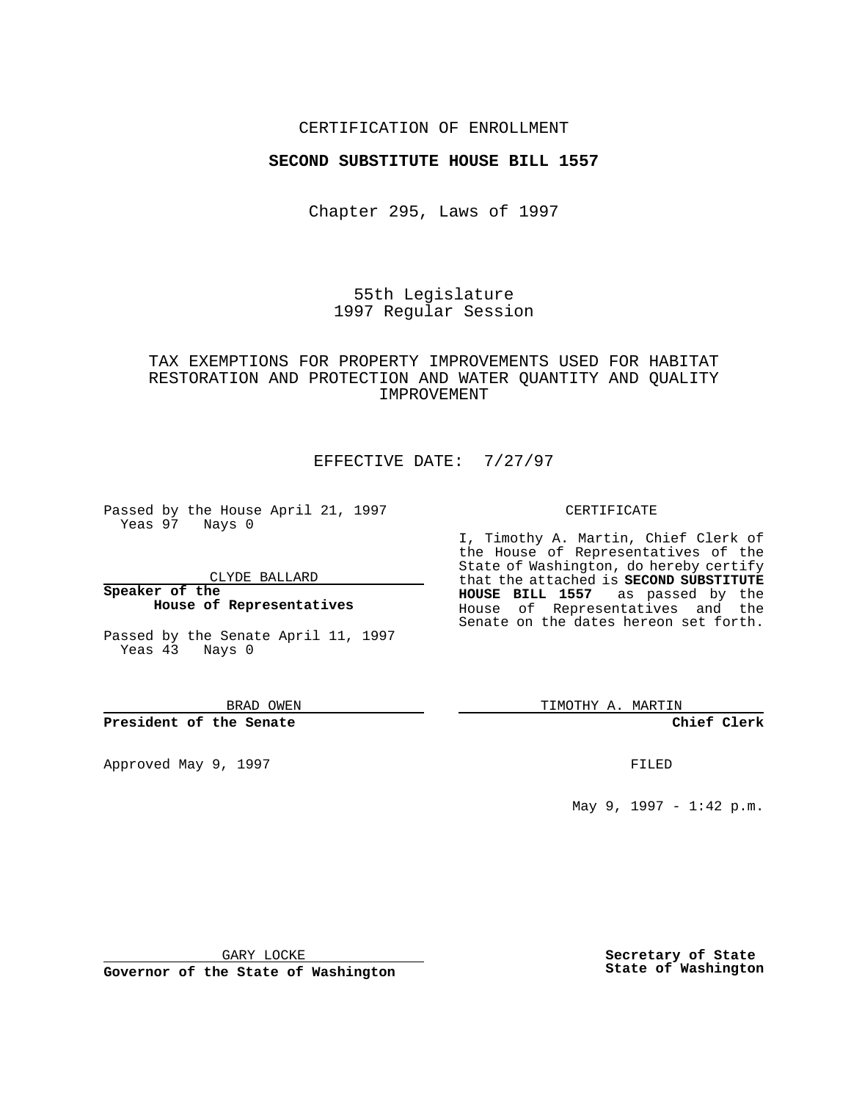## CERTIFICATION OF ENROLLMENT

#### **SECOND SUBSTITUTE HOUSE BILL 1557**

Chapter 295, Laws of 1997

55th Legislature 1997 Regular Session

# TAX EXEMPTIONS FOR PROPERTY IMPROVEMENTS USED FOR HABITAT RESTORATION AND PROTECTION AND WATER QUANTITY AND QUALITY IMPROVEMENT

## EFFECTIVE DATE: 7/27/97

Passed by the House April 21, 1997 Yeas 97 Nays 0

CLYDE BALLARD

**Speaker of the House of Representatives**

Passed by the Senate April 11, 1997 Yeas 43 Nays 0

BRAD OWEN

**President of the Senate**

Approved May 9, 1997 **FILED** 

#### CERTIFICATE

I, Timothy A. Martin, Chief Clerk of the House of Representatives of the State of Washington, do hereby certify that the attached is **SECOND SUBSTITUTE HOUSE BILL 1557** as passed by the House of Representatives and the Senate on the dates hereon set forth.

TIMOTHY A. MARTIN

**Chief Clerk**

May 9, 1997 - 1:42 p.m.

GARY LOCKE

**Governor of the State of Washington**

**Secretary of State State of Washington**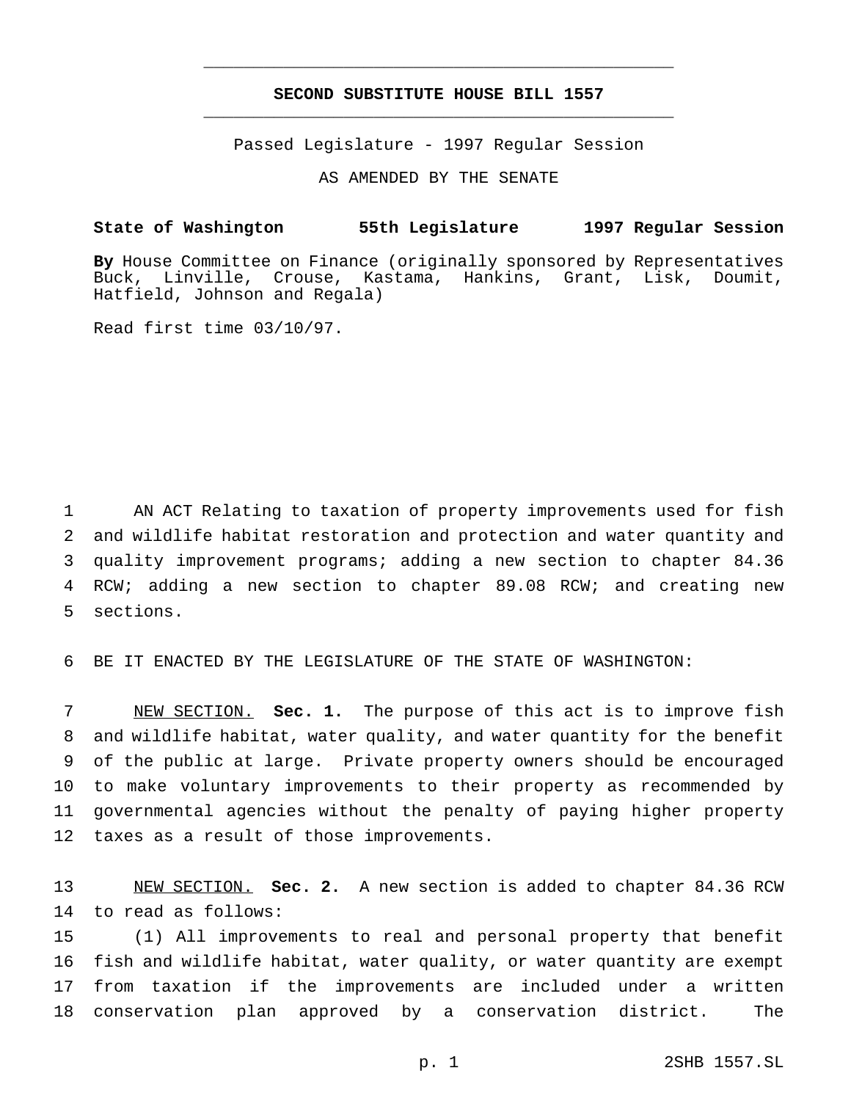## **SECOND SUBSTITUTE HOUSE BILL 1557** \_\_\_\_\_\_\_\_\_\_\_\_\_\_\_\_\_\_\_\_\_\_\_\_\_\_\_\_\_\_\_\_\_\_\_\_\_\_\_\_\_\_\_\_\_\_\_

\_\_\_\_\_\_\_\_\_\_\_\_\_\_\_\_\_\_\_\_\_\_\_\_\_\_\_\_\_\_\_\_\_\_\_\_\_\_\_\_\_\_\_\_\_\_\_

Passed Legislature - 1997 Regular Session

AS AMENDED BY THE SENATE

## **State of Washington 55th Legislature 1997 Regular Session**

**By** House Committee on Finance (originally sponsored by Representatives Buck, Linville, Crouse, Kastama, Hankins, Grant, Lisk, Doumit, Hatfield, Johnson and Regala)

Read first time 03/10/97.

 AN ACT Relating to taxation of property improvements used for fish and wildlife habitat restoration and protection and water quantity and quality improvement programs; adding a new section to chapter 84.36 RCW; adding a new section to chapter 89.08 RCW; and creating new sections.

BE IT ENACTED BY THE LEGISLATURE OF THE STATE OF WASHINGTON:

 NEW SECTION. **Sec. 1.** The purpose of this act is to improve fish and wildlife habitat, water quality, and water quantity for the benefit of the public at large. Private property owners should be encouraged to make voluntary improvements to their property as recommended by governmental agencies without the penalty of paying higher property taxes as a result of those improvements.

 NEW SECTION. **Sec. 2.** A new section is added to chapter 84.36 RCW to read as follows:

 (1) All improvements to real and personal property that benefit fish and wildlife habitat, water quality, or water quantity are exempt from taxation if the improvements are included under a written conservation plan approved by a conservation district. The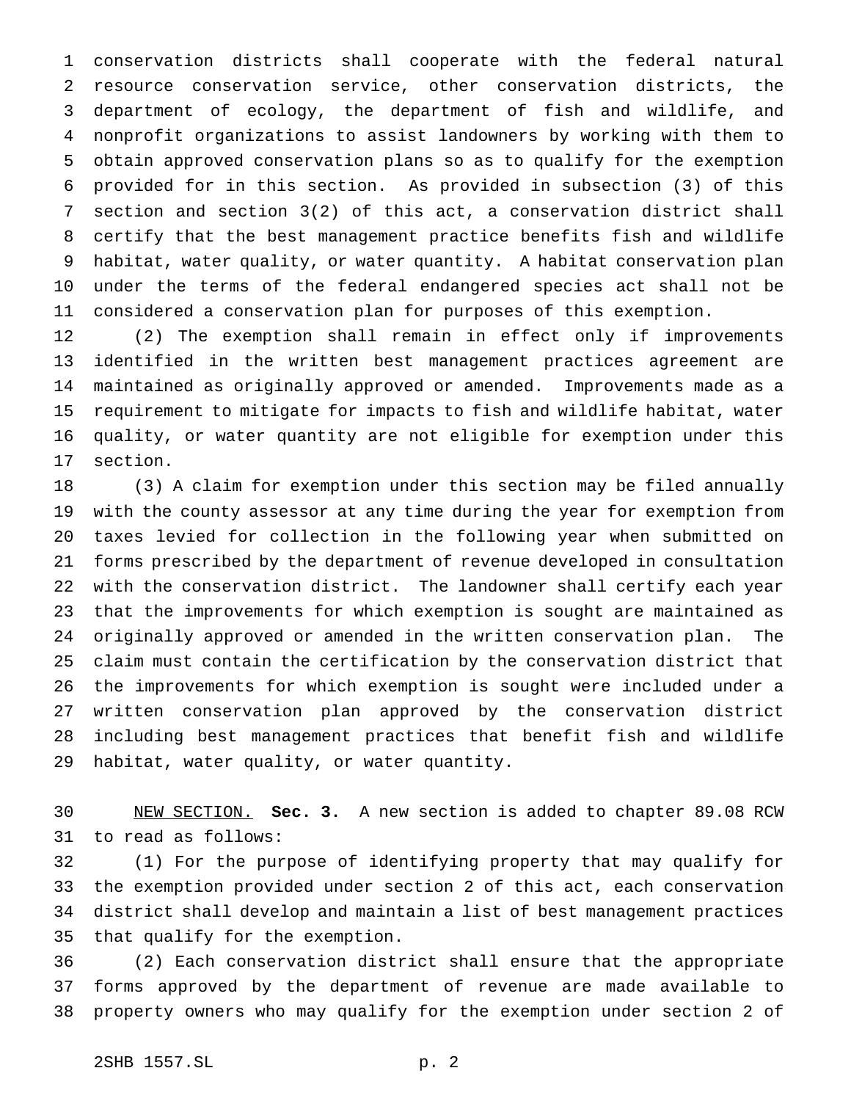conservation districts shall cooperate with the federal natural resource conservation service, other conservation districts, the department of ecology, the department of fish and wildlife, and nonprofit organizations to assist landowners by working with them to obtain approved conservation plans so as to qualify for the exemption provided for in this section. As provided in subsection (3) of this section and section 3(2) of this act, a conservation district shall certify that the best management practice benefits fish and wildlife habitat, water quality, or water quantity. A habitat conservation plan under the terms of the federal endangered species act shall not be considered a conservation plan for purposes of this exemption.

 (2) The exemption shall remain in effect only if improvements identified in the written best management practices agreement are maintained as originally approved or amended. Improvements made as a requirement to mitigate for impacts to fish and wildlife habitat, water quality, or water quantity are not eligible for exemption under this section.

 (3) A claim for exemption under this section may be filed annually with the county assessor at any time during the year for exemption from taxes levied for collection in the following year when submitted on forms prescribed by the department of revenue developed in consultation with the conservation district. The landowner shall certify each year that the improvements for which exemption is sought are maintained as originally approved or amended in the written conservation plan. The claim must contain the certification by the conservation district that the improvements for which exemption is sought were included under a written conservation plan approved by the conservation district including best management practices that benefit fish and wildlife habitat, water quality, or water quantity.

 NEW SECTION. **Sec. 3.** A new section is added to chapter 89.08 RCW to read as follows:

 (1) For the purpose of identifying property that may qualify for the exemption provided under section 2 of this act, each conservation district shall develop and maintain a list of best management practices that qualify for the exemption.

 (2) Each conservation district shall ensure that the appropriate forms approved by the department of revenue are made available to property owners who may qualify for the exemption under section 2 of